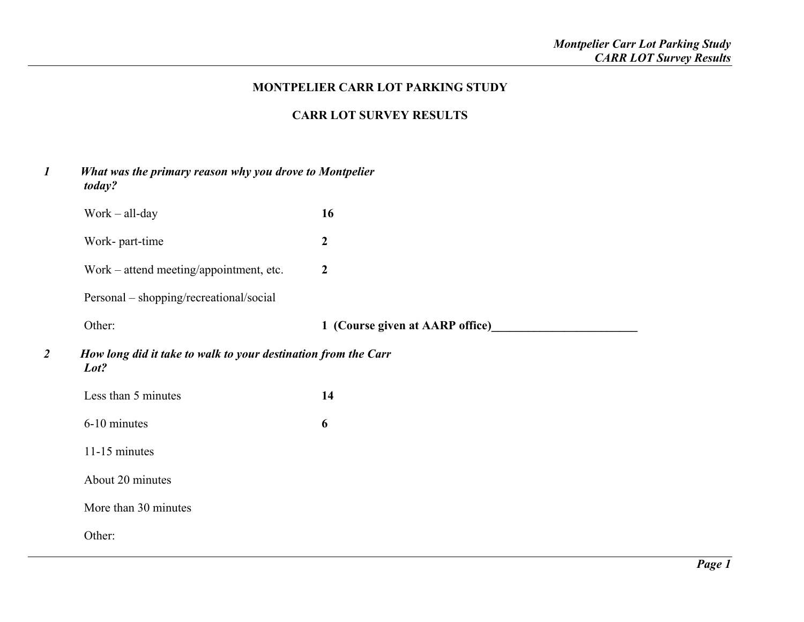## **MONTPELIER CARR LOT PARKING STUDY**

# **CARR LOT SURVEY RESULTS**

| $\boldsymbol{l}$                                                                         | What was the primary reason why you drove to Montpelier<br>today? |                  |  |  |  |
|------------------------------------------------------------------------------------------|-------------------------------------------------------------------|------------------|--|--|--|
|                                                                                          | $Work - all-day$                                                  | 16               |  |  |  |
|                                                                                          | Work- part-time                                                   | $\boldsymbol{2}$ |  |  |  |
|                                                                                          | Work – attend meeting/appointment, etc.                           | $\boldsymbol{2}$ |  |  |  |
|                                                                                          | Personal – shopping/recreational/social                           |                  |  |  |  |
|                                                                                          | Other:                                                            |                  |  |  |  |
| $\overline{2}$<br>How long did it take to walk to your destination from the Carr<br>Lot? |                                                                   |                  |  |  |  |
|                                                                                          | Less than 5 minutes                                               | 14               |  |  |  |
|                                                                                          | 6-10 minutes                                                      | 6                |  |  |  |
|                                                                                          | 11-15 minutes                                                     |                  |  |  |  |
|                                                                                          | About 20 minutes                                                  |                  |  |  |  |
|                                                                                          | More than 30 minutes                                              |                  |  |  |  |
|                                                                                          | Other:                                                            |                  |  |  |  |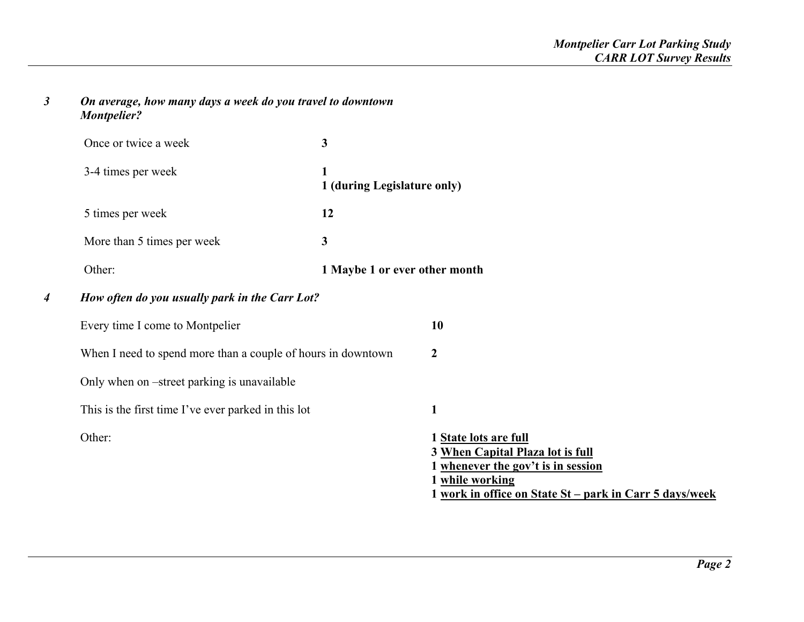## *3 On average, how many days a week do you travel to downtown Montpelier?*

*4*

|                                                     | Once or twice a week                                         | 3                                |                                                                                                                                                                               |
|-----------------------------------------------------|--------------------------------------------------------------|----------------------------------|-------------------------------------------------------------------------------------------------------------------------------------------------------------------------------|
|                                                     | 3-4 times per week                                           | 1<br>1 (during Legislature only) |                                                                                                                                                                               |
|                                                     | 5 times per week                                             | 12                               |                                                                                                                                                                               |
|                                                     | More than 5 times per week                                   | 3                                |                                                                                                                                                                               |
|                                                     | Other:                                                       | 1 Maybe 1 or ever other month    |                                                                                                                                                                               |
| How often do you usually park in the Carr Lot?<br>4 |                                                              |                                  |                                                                                                                                                                               |
|                                                     | Every time I come to Montpelier                              |                                  | 10                                                                                                                                                                            |
|                                                     | When I need to spend more than a couple of hours in downtown |                                  | $\boldsymbol{2}$                                                                                                                                                              |
|                                                     | Only when on -street parking is unavailable                  |                                  |                                                                                                                                                                               |
|                                                     | This is the first time I've ever parked in this lot          |                                  | 1                                                                                                                                                                             |
|                                                     | Other:                                                       |                                  | 1 State lots are full<br>3 When Capital Plaza lot is full<br>1 whenever the gov't is in session<br>1 while working<br>1 work in office on State St - park in Carr 5 days/week |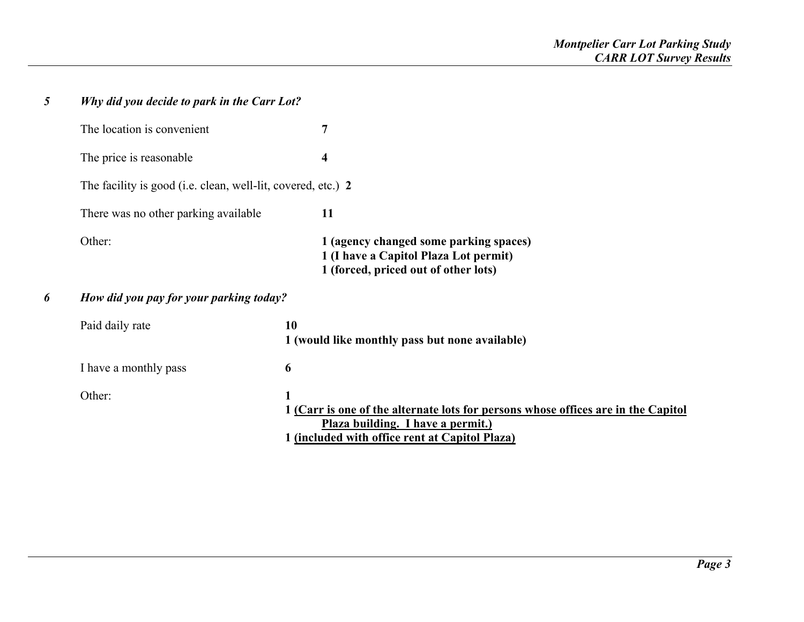| 5 | Why did you decide to park in the Carr Lot?                  |    |                                                                                                                                                                          |  |  |
|---|--------------------------------------------------------------|----|--------------------------------------------------------------------------------------------------------------------------------------------------------------------------|--|--|
|   | The location is convenient                                   |    | 7                                                                                                                                                                        |  |  |
|   | The price is reasonable                                      |    | 4                                                                                                                                                                        |  |  |
|   | The facility is good (i.e. clean, well-lit, covered, etc.) 2 |    |                                                                                                                                                                          |  |  |
|   | There was no other parking available                         |    | 11                                                                                                                                                                       |  |  |
|   | Other:                                                       |    | 1 (agency changed some parking spaces)<br>1 (I have a Capitol Plaza Lot permit)<br>1 (forced, priced out of other lots)                                                  |  |  |
| 6 | How did you pay for your parking today?                      |    |                                                                                                                                                                          |  |  |
|   | Paid daily rate                                              | 10 | 1 (would like monthly pass but none available)                                                                                                                           |  |  |
|   | I have a monthly pass                                        | 6  |                                                                                                                                                                          |  |  |
|   | Other:                                                       | 1  | 1 (Carr is one of the alternate lots for persons whose offices are in the Capitol<br>Plaza building. I have a permit.)<br>1 (included with office rent at Capitol Plaza) |  |  |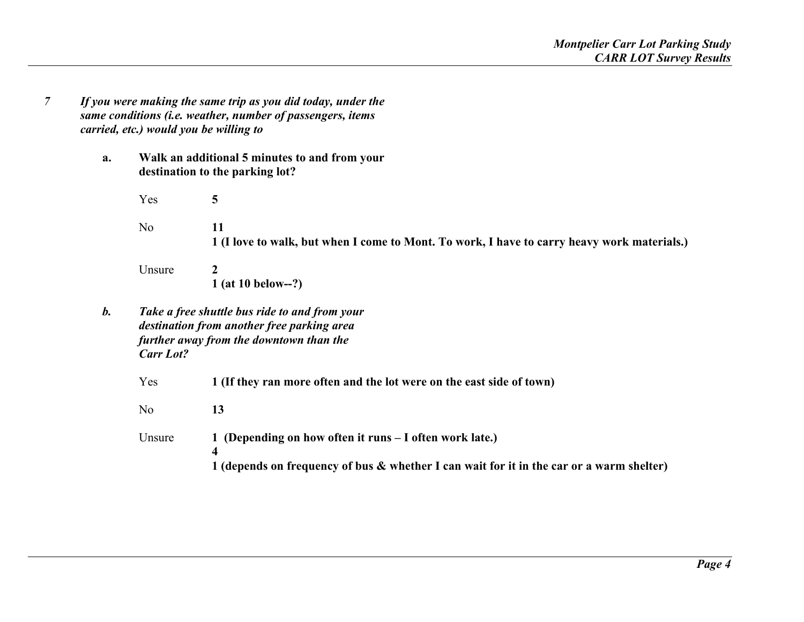- *7 If you were making the same trip as you did today, under the same conditions (i.e. weather, number of passengers, items carried, etc.) would you be willing to* 
	- **a. Walk an additional 5 minutes to and from your destination to the parking lot?**

 Yes **5**  No **11 1 (I love to walk, but when I come to Mont. To work, I have to carry heavy work materials.)** 

 Unsure **2 1 (at 10 below--?)** 

*b. Take a free shuttle bus ride to and from your destination from another free parking area further away from the downtown than the Carr Lot?* 

Yes **1 (If they ran more often and the lot were on the east side of town)** 

No **13** 13

Unsure **1 (Depending on how often it runs – I often work late.) 4 1 (depends on frequency of bus & whether I can wait for it in the car or a warm shelter)**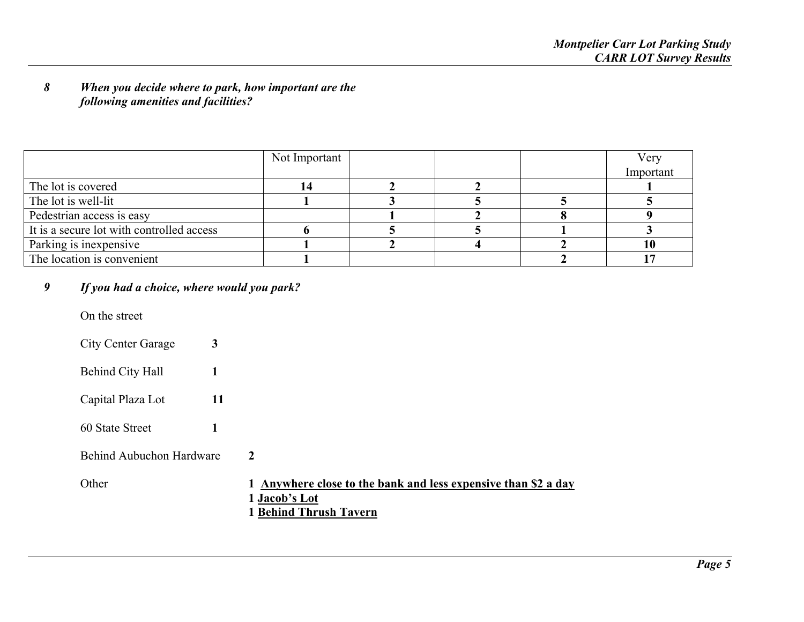### *8 When you decide where to park, how important are the following amenities and facilities?*

|                                           | Not Important |  | Very      |
|-------------------------------------------|---------------|--|-----------|
|                                           |               |  | Important |
| The lot is covered                        |               |  |           |
| The lot is well-lit                       |               |  |           |
| Pedestrian access is easy                 |               |  |           |
| It is a secure lot with controlled access |               |  |           |
| Parking is inexpensive                    |               |  | l0        |
| The location is convenient                |               |  |           |

#### *9If you had a choice, where would you park?*

On the street

City Center Garage **3** 

- Behind City Hall **1**
- Capital Plaza Lot **11**
- 60 State Street **1**

Behind Aubuchon Hardware

 $\overline{2}$ 

Other 1 Anywhere close to the bank and less expensive than \$2 a day  **1 Jacob's Lot 1 Behind Thrush Tavern**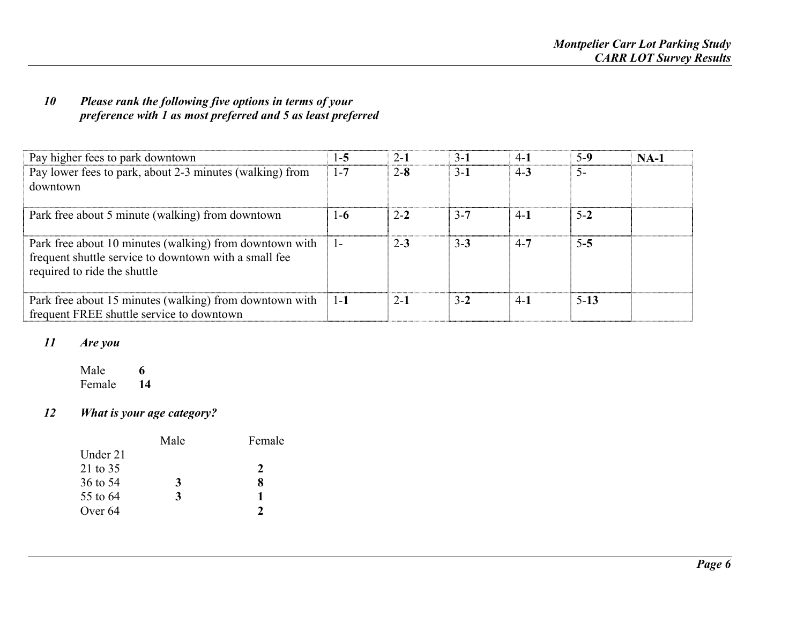## *10 Please rank the following five options in terms of your preference with 1 as most preferred and 5 as least preferred*

| Pay higher fees to park downtown                                                                                                                 | $1 - 5$      | $2 - 1$ | $3-1$   | $4-1$   | $5-9$   | $NA-1$ |
|--------------------------------------------------------------------------------------------------------------------------------------------------|--------------|---------|---------|---------|---------|--------|
| Pay lower fees to park, about 2-3 minutes (walking) from<br>downtown                                                                             | $1 - 7$      | $2 - 8$ | $3 - 1$ | $4 - 3$ | $5-$    |        |
| Park free about 5 minute (walking) from downtown                                                                                                 | $1-6$        | $2 - 2$ | $3 - 7$ | $4-1$   | $5 - 2$ |        |
| Park free about 10 minutes (walking) from downtown with<br>frequent shuttle service to downtown with a small fee<br>required to ride the shuttle | $\mathbf{I}$ | $2 - 3$ | $3 - 3$ | $4 - 7$ | $5 - 5$ |        |
| Park free about 15 minutes (walking) from downtown with<br>frequent FREE shuttle service to downtown                                             | $1-1$        | $2 - 1$ | $3 - 2$ | $4-1$   | $5-13$  |        |

#### *11Are you*

Male **6**6 Female **14**

#### *12What is your age category?*

| Male | Female |
|------|--------|
|      |        |
|      |        |
| 3    |        |
| 3    |        |
|      |        |
|      |        |